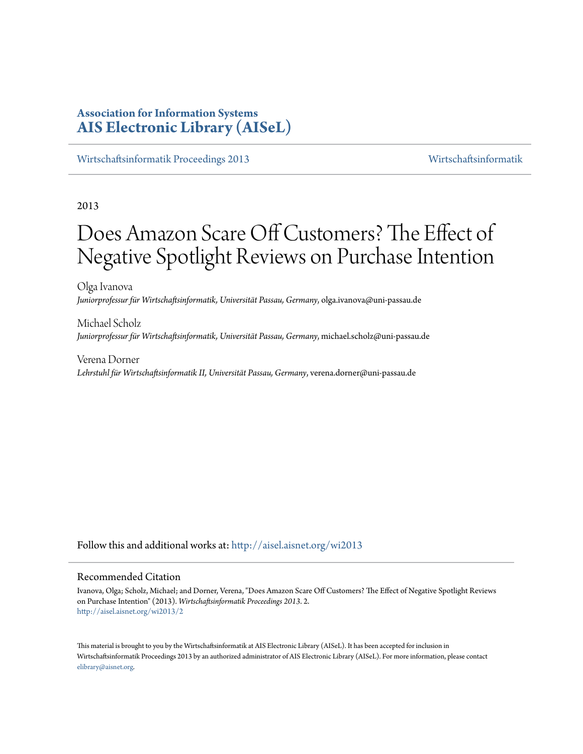# **Association for Information Systems [AIS Electronic Library \(AISeL\)](http://aisel.aisnet.org?utm_source=aisel.aisnet.org%2Fwi2013%2F2&utm_medium=PDF&utm_campaign=PDFCoverPages)**

[Wirtschaftsinformatik Proceedings 2013](http://aisel.aisnet.org/wi2013?utm_source=aisel.aisnet.org%2Fwi2013%2F2&utm_medium=PDF&utm_campaign=PDFCoverPages) [Wirtschaftsinformatik](http://aisel.aisnet.org/wi?utm_source=aisel.aisnet.org%2Fwi2013%2F2&utm_medium=PDF&utm_campaign=PDFCoverPages)

2013

# Does Amazon Scare Off Customers? The Effect of Negative Spotlight Reviews on Purchase Intention

Olga Ivanova *Juniorprofessur für Wirtschaftsinformatik, Universität Passau, Germany*, olga.ivanova@uni-passau.de

Michael Scholz *Juniorprofessur für Wirtschaftsinformatik, Universität Passau, Germany*, michael.scholz@uni-passau.de

Verena Dorner *Lehrstuhl für Wirtschaftsinformatik II, Universität Passau, Germany*, verena.dorner@uni-passau.de

Follow this and additional works at: [http://aisel.aisnet.org/wi2013](http://aisel.aisnet.org/wi2013?utm_source=aisel.aisnet.org%2Fwi2013%2F2&utm_medium=PDF&utm_campaign=PDFCoverPages)

#### Recommended Citation

Ivanova, Olga; Scholz, Michael; and Dorner, Verena, "Does Amazon Scare Off Customers? The Effect of Negative Spotlight Reviews on Purchase Intention" (2013). *Wirtschaftsinformatik Proceedings 2013*. 2. [http://aisel.aisnet.org/wi2013/2](http://aisel.aisnet.org/wi2013/2?utm_source=aisel.aisnet.org%2Fwi2013%2F2&utm_medium=PDF&utm_campaign=PDFCoverPages)

This material is brought to you by the Wirtschaftsinformatik at AIS Electronic Library (AISeL). It has been accepted for inclusion in Wirtschaftsinformatik Proceedings 2013 by an authorized administrator of AIS Electronic Library (AISeL). For more information, please contact [elibrary@aisnet.org.](mailto:elibrary@aisnet.org%3E)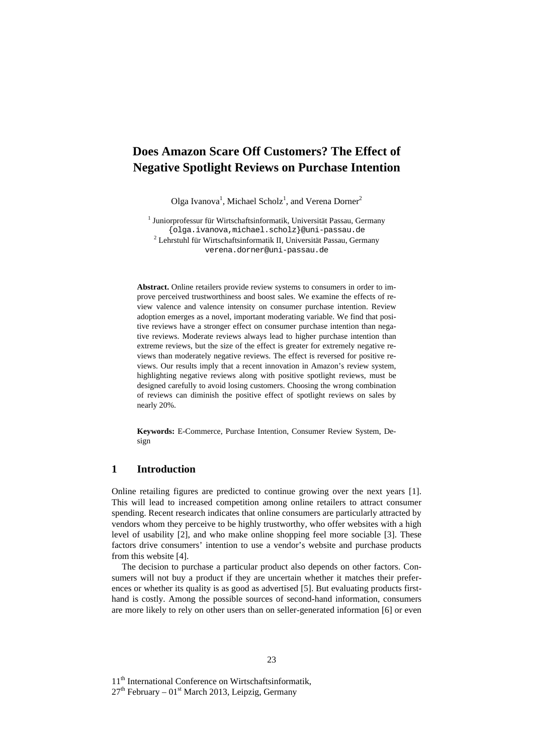# **Does Amazon Scare Off Customers? The Effect of Negative Spotlight Reviews on Purchase Intention**

Olga Ivanova<sup>1</sup>, Michael Scholz<sup>1</sup>, and Verena Dorner<sup>2</sup>

1 Juniorprofessur für Wirtschaftsinformatik, Universität Passau, Germany {olga.ivanova,michael.scholz}@uni-passau.de  $^{2}$  Lehrstuhl für Wirtschaftsinformatik II, Universität Passau, Germany verena.dorner@uni-passau.de

**Abstract.** Online retailers provide review systems to consumers in order to improve perceived trustworthiness and boost sales. We examine the effects of review valence and valence intensity on consumer purchase intention. Review adoption emerges as a novel, important moderating variable. We find that positive reviews have a stronger effect on consumer purchase intention than negative reviews. Moderate reviews always lead to higher purchase intention than extreme reviews, but the size of the effect is greater for extremely negative reviews than moderately negative reviews. The effect is reversed for positive reviews. Our results imply that a recent innovation in Amazon's review system, highlighting negative reviews along with positive spotlight reviews, must be designed carefully to avoid losing customers. Choosing the wrong combination of reviews can diminish the positive effect of spotlight reviews on sales by nearly 20%.

**Keywords:** E-Commerce, Purchase Intention, Consumer Review System, Design

#### **1 Introduction**

Online retailing figures are predicted to continue growing over the next years [1]. This will lead to increased competition among online retailers to attract consumer spending. Recent research indicates that online consumers are particularly attracted by vendors whom they perceive to be highly trustworthy, who offer websites with a high level of usability [2], and who make online shopping feel more sociable [3]. These factors drive consumers' intention to use a vendor's website and purchase products from this website [4].

The decision to purchase a particular product also depends on other factors. Consumers will not buy a product if they are uncertain whether it matches their preferences or whether its quality is as good as advertised [5]. But evaluating products firsthand is costly. Among the possible sources of second-hand information, consumers are more likely to rely on other users than on seller-generated information [6] or even

11<sup>th</sup> International Conference on Wirtschaftsinformatik,

 $27<sup>th</sup>$  February – 01<sup>st</sup> March 2013, Leipzig, Germany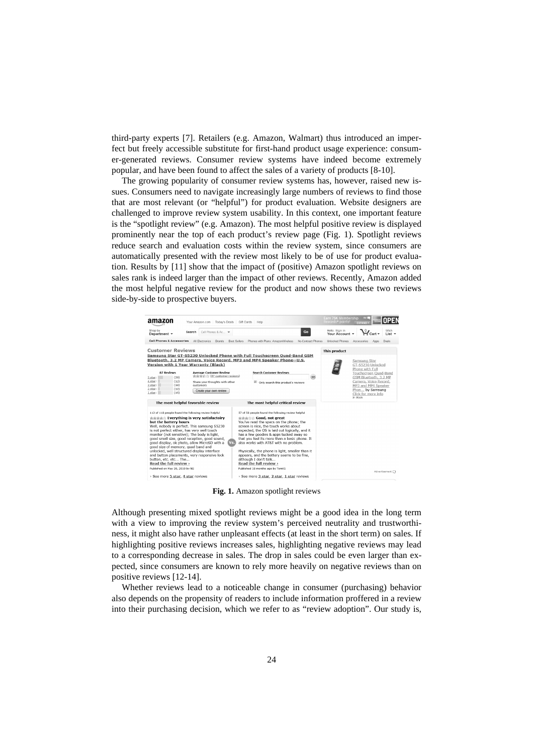third-party experts [7]. Retailers (e.g. Amazon, Walmart) thus introduced an imperfect but freely accessible substitute for first-hand product usage experience: consumer-generated reviews. Consumer review systems have indeed become extremely popular, and have been found to affect the sales of a variety of products [8-10].

The growing popularity of consumer review systems has, however, raised new issues. Consumers need to navigate increasingly large numbers of reviews to find those that are most relevant (or "helpful") for product evaluation. Website designers are challenged to improve review system usability. In this context, one important feature is the "spotlight review" (e.g. Amazon). The most helpful positive review is displayed prominently near the top of each product's review page (Fig. 1). Spotlight reviews reduce search and evaluation costs within the review system, since consumers are automatically presented with the review most likely to be of use for product evaluation. Results by [11] show that the impact of (positive) Amazon spotlight reviews on sales rank is indeed larger than the impact of other reviews. Recently, Amazon added the most helpful negative review for the product and now shows these two reviews side-by-side to prospective buyers.



**Fig. 1.** Amazon spotlight reviews

Although presenting mixed spotlight reviews might be a good idea in the long term with a view to improving the review system's perceived neutrality and trustworthiness, it might also have rather unpleasant effects (at least in the short term) on sales. If highlighting positive reviews increases sales, highlighting negative reviews may lead to a corresponding decrease in sales. The drop in sales could be even larger than expected, since consumers are known to rely more heavily on negative reviews than on positive reviews [12-14].

Whether reviews lead to a noticeable change in consumer (purchasing) behavior also depends on the propensity of readers to include information proffered in a review into their purchasing decision, which we refer to as "review adoption". Our study is,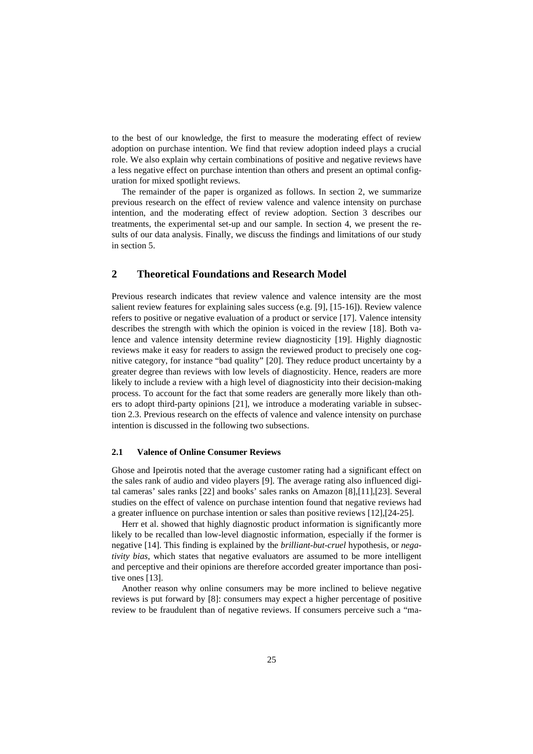to the best of our knowledge, the first to measure the moderating effect of review adoption on purchase intention. We find that review adoption indeed plays a crucial role. We also explain why certain combinations of positive and negative reviews have a less negative effect on purchase intention than others and present an optimal configuration for mixed spotlight reviews.

The remainder of the paper is organized as follows. In section 2, we summarize previous research on the effect of review valence and valence intensity on purchase intention, and the moderating effect of review adoption. Section 3 describes our treatments, the experimental set-up and our sample. In section 4, we present the results of our data analysis. Finally, we discuss the findings and limitations of our study in section 5.

## **2 Theoretical Foundations and Research Model**

Previous research indicates that review valence and valence intensity are the most salient review features for explaining sales success (e.g. [9], [15-16]). Review valence refers to positive or negative evaluation of a product or service [17]. Valence intensity describes the strength with which the opinion is voiced in the review [18]. Both valence and valence intensity determine review diagnosticity [19]. Highly diagnostic reviews make it easy for readers to assign the reviewed product to precisely one cognitive category, for instance "bad quality" [20]. They reduce product uncertainty by a greater degree than reviews with low levels of diagnosticity. Hence, readers are more likely to include a review with a high level of diagnosticity into their decision-making process. To account for the fact that some readers are generally more likely than others to adopt third-party opinions [21], we introduce a moderating variable in subsection 2.3. Previous research on the effects of valence and valence intensity on purchase intention is discussed in the following two subsections.

#### **2.1 Valence of Online Consumer Reviews**

Ghose and Ipeirotis noted that the average customer rating had a significant effect on the sales rank of audio and video players [9]. The average rating also influenced digital cameras' sales ranks [22] and books' sales ranks on Amazon [8],[11],[23]. Several studies on the effect of valence on purchase intention found that negative reviews had a greater influence on purchase intention or sales than positive reviews [12],[24-25].

Herr et al. showed that highly diagnostic product information is significantly more likely to be recalled than low-level diagnostic information, especially if the former is negative [14]. This finding is explained by the *brilliant-but-cruel* hypothesis, or *negativity bias*, which states that negative evaluators are assumed to be more intelligent and perceptive and their opinions are therefore accorded greater importance than positive ones [13].

Another reason why online consumers may be more inclined to believe negative reviews is put forward by [8]: consumers may expect a higher percentage of positive review to be fraudulent than of negative reviews. If consumers perceive such a "ma-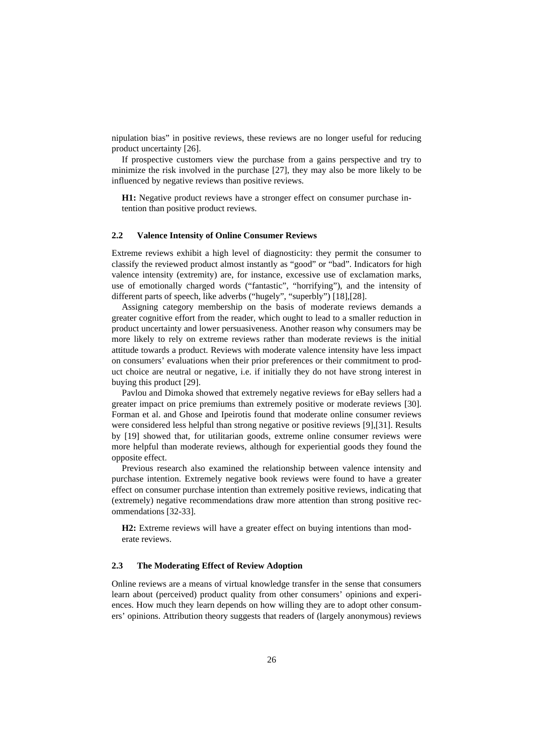nipulation bias" in positive reviews, these reviews are no longer useful for reducing product uncertainty [26].

If prospective customers view the purchase from a gains perspective and try to minimize the risk involved in the purchase [27], they may also be more likely to be influenced by negative reviews than positive reviews.

**H1:** Negative product reviews have a stronger effect on consumer purchase intention than positive product reviews.

#### **2.2 Valence Intensity of Online Consumer Reviews**

Extreme reviews exhibit a high level of diagnosticity: they permit the consumer to classify the reviewed product almost instantly as "good" or "bad". Indicators for high valence intensity (extremity) are, for instance, excessive use of exclamation marks, use of emotionally charged words ("fantastic", "horrifying"), and the intensity of different parts of speech, like adverbs ("hugely", "superbly") [18],[28].

Assigning category membership on the basis of moderate reviews demands a greater cognitive effort from the reader, which ought to lead to a smaller reduction in product uncertainty and lower persuasiveness. Another reason why consumers may be more likely to rely on extreme reviews rather than moderate reviews is the initial attitude towards a product. Reviews with moderate valence intensity have less impact on consumers' evaluations when their prior preferences or their commitment to product choice are neutral or negative, i.e. if initially they do not have strong interest in buying this product [29].

Pavlou and Dimoka showed that extremely negative reviews for eBay sellers had a greater impact on price premiums than extremely positive or moderate reviews [30]. Forman et al. and Ghose and Ipeirotis found that moderate online consumer reviews were considered less helpful than strong negative or positive reviews [9],[31]. Results by [19] showed that, for utilitarian goods, extreme online consumer reviews were more helpful than moderate reviews, although for experiential goods they found the opposite effect.

Previous research also examined the relationship between valence intensity and purchase intention. Extremely negative book reviews were found to have a greater effect on consumer purchase intention than extremely positive reviews, indicating that (extremely) negative recommendations draw more attention than strong positive recommendations [32-33].

**H2:** Extreme reviews will have a greater effect on buying intentions than moderate reviews.

#### **2.3 The Moderating Effect of Review Adoption**

Online reviews are a means of virtual knowledge transfer in the sense that consumers learn about (perceived) product quality from other consumers' opinions and experiences. How much they learn depends on how willing they are to adopt other consumers' opinions. Attribution theory suggests that readers of (largely anonymous) reviews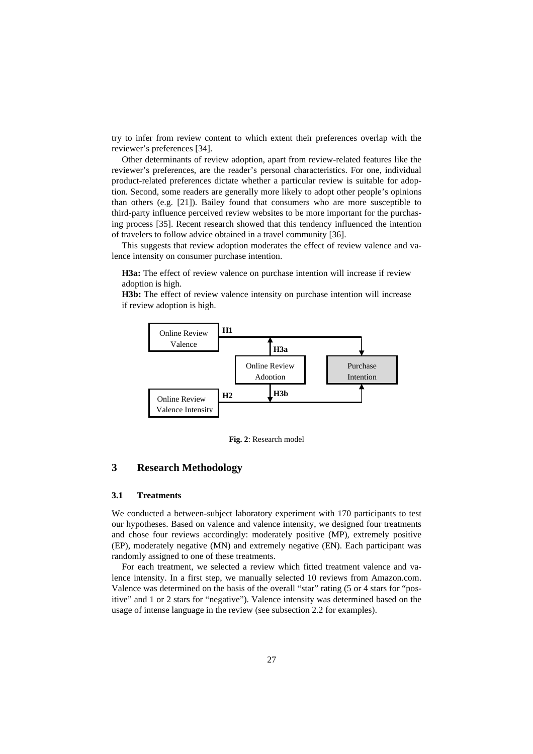try to infer from review content to which extent their preferences overlap with the reviewer's preferences [34].

Other determinants of review adoption, apart from review-related features like the reviewer's preferences, are the reader's personal characteristics. For one, individual product-related preferences dictate whether a particular review is suitable for adoption. Second, some readers are generally more likely to adopt other people's opinions than others (e.g. [21]). Bailey found that consumers who are more susceptible to third-party influence perceived review websites to be more important for the purchasing process [35]. Recent research showed that this tendency influenced the intention of travelers to follow advice obtained in a travel community [36].

This suggests that review adoption moderates the effect of review valence and valence intensity on consumer purchase intention.

**H3a:** The effect of review valence on purchase intention will increase if review adoption is high.

**H3b:** The effect of review valence intensity on purchase intention will increase if review adoption is high.



**Fig. 2**: Research model

### **3 Research Methodology**

#### **3.1 Treatments**

We conducted a between-subject laboratory experiment with 170 participants to test our hypotheses. Based on valence and valence intensity, we designed four treatments and chose four reviews accordingly: moderately positive (MP), extremely positive (EP), moderately negative (MN) and extremely negative (EN). Each participant was randomly assigned to one of these treatments.

For each treatment, we selected a review which fitted treatment valence and valence intensity. In a first step, we manually selected 10 reviews from Amazon.com. Valence was determined on the basis of the overall "star" rating (5 or 4 stars for "positive" and 1 or 2 stars for "negative"). Valence intensity was determined based on the usage of intense language in the review (see subsection 2.2 for examples).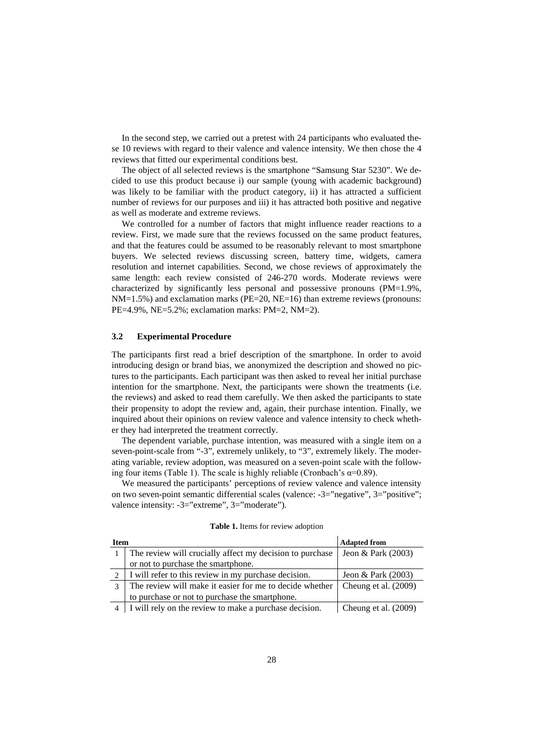In the second step, we carried out a pretest with 24 participants who evaluated these 10 reviews with regard to their valence and valence intensity. We then chose the 4 reviews that fitted our experimental conditions best.

The object of all selected reviews is the smartphone "Samsung Star 5230". We decided to use this product because i) our sample (young with academic background) was likely to be familiar with the product category, ii) it has attracted a sufficient number of reviews for our purposes and iii) it has attracted both positive and negative as well as moderate and extreme reviews.

We controlled for a number of factors that might influence reader reactions to a review. First, we made sure that the reviews focussed on the same product features, and that the features could be assumed to be reasonably relevant to most smartphone buyers. We selected reviews discussing screen, battery time, widgets, camera resolution and internet capabilities. Second, we chose reviews of approximately the same length: each review consisted of 246-270 words. Moderate reviews were characterized by significantly less personal and possessive pronouns (PM=1.9%, NM=1.5%) and exclamation marks (PE=20, NE=16) than extreme reviews (pronouns: PE=4.9%, NE=5.2%; exclamation marks: PM=2, NM=2).

#### **3.2 Experimental Procedure**

The participants first read a brief description of the smartphone. In order to avoid introducing design or brand bias, we anonymized the description and showed no pictures to the participants. Each participant was then asked to reveal her initial purchase intention for the smartphone. Next, the participants were shown the treatments (i.e. the reviews) and asked to read them carefully. We then asked the participants to state their propensity to adopt the review and, again, their purchase intention. Finally, we inquired about their opinions on review valence and valence intensity to check whether they had interpreted the treatment correctly.

The dependent variable, purchase intention, was measured with a single item on a seven-point-scale from "-3", extremely unlikely, to "3", extremely likely. The moderating variable, review adoption, was measured on a seven-point scale with the following four items (Table 1). The scale is highly reliable (Cronbach's  $\alpha=0.89$ ).

We measured the participants' perceptions of review valence and valence intensity on two seven-point semantic differential scales (valence: -3="negative", 3="positive"; valence intensity: -3="extreme", 3="moderate").

| <b>Item</b>   |                                                          | <b>Adapted from</b>  |  |
|---------------|----------------------------------------------------------|----------------------|--|
|               | The review will crucially affect my decision to purchase | Jeon & Park (2003)   |  |
|               | or not to purchase the smartphone.                       |                      |  |
|               | I will refer to this review in my purchase decision.     | Jeon & Park $(2003)$ |  |
| $\mathcal{F}$ | The review will make it easier for me to decide whether  | Cheung et al. (2009) |  |
|               | to purchase or not to purchase the smartphone.           |                      |  |
|               | I will rely on the review to make a purchase decision.   | Cheung et al. (2009) |  |

**Table 1.** Items for review adoption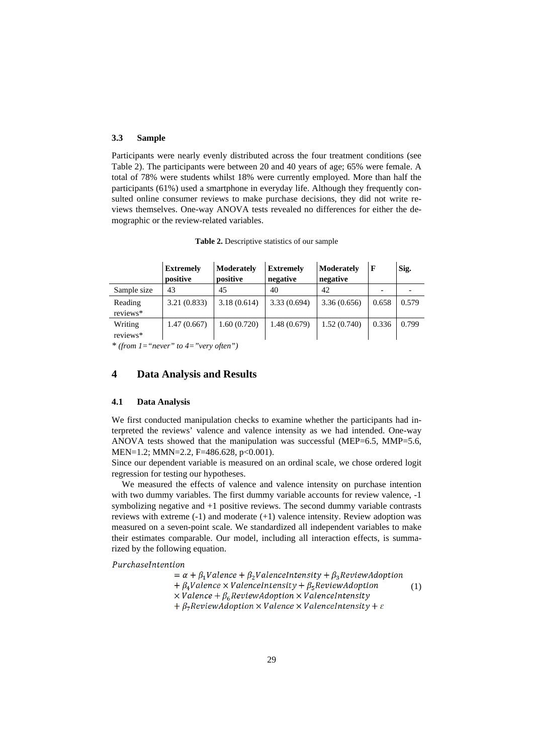#### **3.3 Sample**

Participants were nearly evenly distributed across the four treatment conditions (see Table 2). The participants were between 20 and 40 years of age; 65% were female. A total of 78% were students whilst 18% were currently employed. More than half the participants (61%) used a smartphone in everyday life. Although they frequently consulted online consumer reviews to make purchase decisions, they did not write reviews themselves. One-way ANOVA tests revealed no differences for either the demographic or the review-related variables.

|                     | <b>Extremely</b><br>positive | Moderately<br>positive | <b>Extremely</b><br>negative | Moderately<br>negative |       | Sig.  |
|---------------------|------------------------------|------------------------|------------------------------|------------------------|-------|-------|
| Sample size         | 43                           | 45                     | 40                           | 42                     |       |       |
| Reading<br>reviews* | 3.21(0.833)                  | 3.18(0.614)            | 3.33(0.694)                  | 3.36(0.656)            | 0.658 | 0.579 |
| Writing<br>reviews* | 1.47(0.667)                  | 1.60(0.720)            | 1.48(0.679)                  | 1.52(0.740)            | 0.336 | 0.799 |

**Table 2.** Descriptive statistics of our sample

*\* (from 1="never" to 4="very often")*

#### **4 Data Analysis and Results**

#### **4.1 Data Analysis**

We first conducted manipulation checks to examine whether the participants had interpreted the reviews' valence and valence intensity as we had intended. One-way ANOVA tests showed that the manipulation was successful (MEP=6.5, MMP=5.6, MEN=1.2; MMN=2.2, F=486.628, p<0.001).

Since our dependent variable is measured on an ordinal scale, we chose ordered logit regression for testing our hypotheses.

We measured the effects of valence and valence intensity on purchase intention with two dummy variables. The first dummy variable accounts for review valence,  $-1$ symbolizing negative and +1 positive reviews. The second dummy variable contrasts reviews with extreme (-1) and moderate (+1) valence intensity. Review adoption was measured on a seven-point scale. We standardized all independent variables to make their estimates comparable. Our model, including all interaction effects, is summarized by the following equation.

PurchaseIntention

 $= \alpha + \beta_1$ Valence +  $\beta_2$ ValenceIntensity +  $\beta_3$ ReviewAdoption  $+\beta_4$ Valence × ValenceIntensity +  $\beta_5$ ReviewAdoption

(1)

 $\times$  Valence +  $\beta_6$  Review Adoption  $\times$  Valence Intensity

 $+ \beta_7$ ReviewAdoption  $\times$  Valence  $\times$  ValenceIntensity +  $\varepsilon$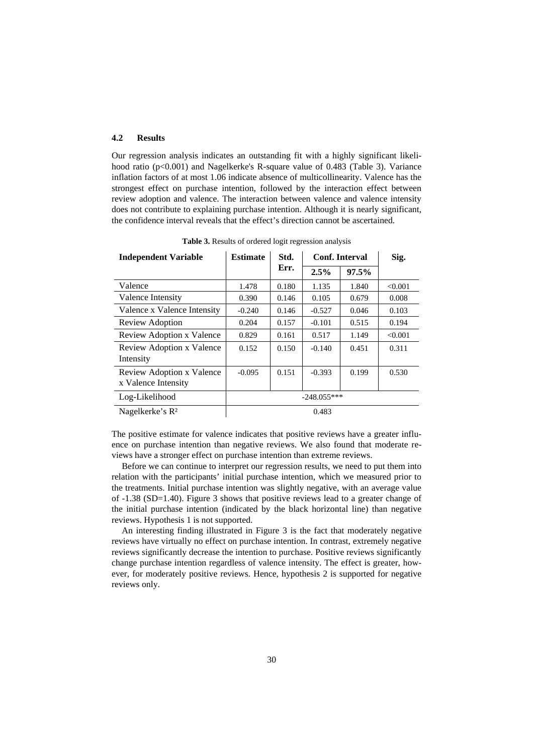#### **4.2 Results**

Our regression analysis indicates an outstanding fit with a highly significant likelihood ratio (p<0.001) and Nagelkerke's R-square value of 0.483 (Table 3). Variance inflation factors of at most 1.06 indicate absence of multicollinearity. Valence has the strongest effect on purchase intention, followed by the interaction effect between review adoption and valence. The interaction between valence and valence intensity does not contribute to explaining purchase intention. Although it is nearly significant, the confidence interval reveals that the effect's direction cannot be ascertained.

| <b>Independent Variable</b>                      | <b>Estimate</b> | Std.  | <b>Conf.</b> Interval |       | Sig.    |
|--------------------------------------------------|-----------------|-------|-----------------------|-------|---------|
|                                                  |                 | Err.  | 2.5%                  | 97.5% |         |
| Valence                                          | 1.478           | 0.180 | 1.135                 | 1.840 | < 0.001 |
| Valence Intensity                                | 0.390           | 0.146 | 0.105                 | 0.679 | 0.008   |
| Valence x Valence Intensity                      | $-0.240$        | 0.146 | $-0.527$              | 0.046 | 0.103   |
| Review Adoption                                  | 0.204           | 0.157 | $-0.101$              | 0.515 | 0.194   |
| Review Adoption x Valence                        | 0.829           | 0.161 | 0.517                 | 1.149 | < 0.001 |
| Review Adoption x Valence<br>Intensity           | 0.152           | 0.150 | $-0.140$              | 0.451 | 0.311   |
| Review Adoption x Valence<br>x Valence Intensity | $-0.095$        | 0.151 | $-0.393$              | 0.199 | 0.530   |
| Log-Likelihood                                   |                 |       | $-248.055***$         |       |         |
| Nagelkerke's $R^2$                               |                 |       | 0.483                 |       |         |

**Table 3.** Results of ordered logit regression analysis

The positive estimate for valence indicates that positive reviews have a greater influence on purchase intention than negative reviews. We also found that moderate reviews have a stronger effect on purchase intention than extreme reviews.

Before we can continue to interpret our regression results, we need to put them into relation with the participants' initial purchase intention, which we measured prior to the treatments. Initial purchase intention was slightly negative, with an average value of -1.38 (SD=1.40). Figure 3 shows that positive reviews lead to a greater change of the initial purchase intention (indicated by the black horizontal line) than negative reviews. Hypothesis 1 is not supported.

An interesting finding illustrated in Figure 3 is the fact that moderately negative reviews have virtually no effect on purchase intention. In contrast, extremely negative reviews significantly decrease the intention to purchase. Positive reviews significantly change purchase intention regardless of valence intensity. The effect is greater, however, for moderately positive reviews. Hence, hypothesis 2 is supported for negative reviews only.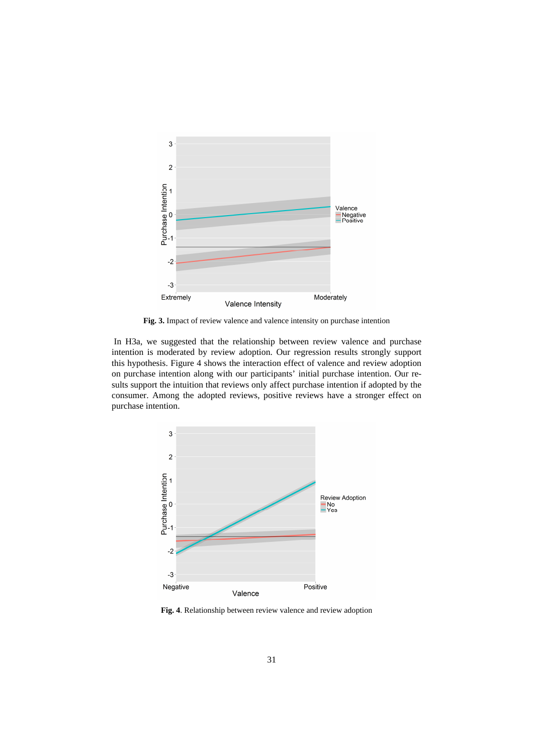

**Fig. 3.** Impact of review valence and valence intensity on purchase intention

In H3a, we suggested that the relationship between review valence and purchase intention is moderated by review adoption. Our regression results strongly support this hypothesis. Figure 4 shows the interaction effect of valence and review adoption on purchase intention along with our participants' initial purchase intention. Our results support the intuition that reviews only affect purchase intention if adopted by the consumer. Among the adopted reviews, positive reviews have a stronger effect on purchase intention.



**Fig. 4**. Relationship between review valence and review adoption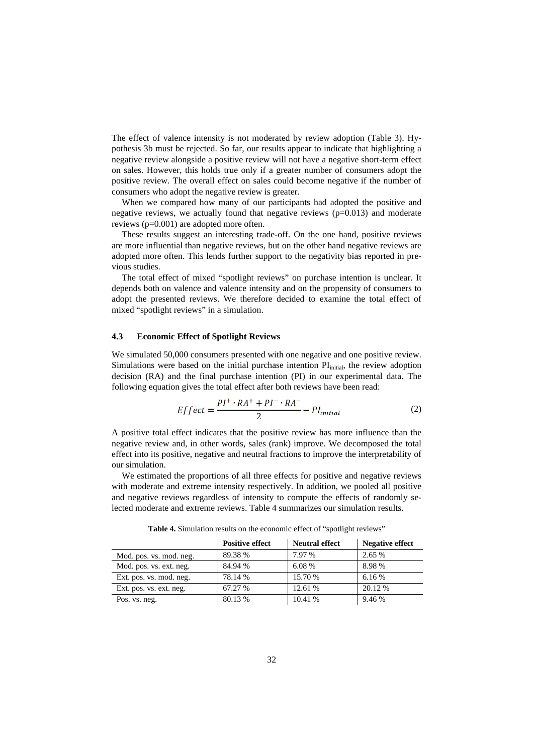The effect of valence intensity is not moderated by review adoption (Table 3). Hypothesis 3b must be rejected. So far, our results appear to indicate that highlighting a negative review alongside a positive review will not have a negative short-term effect on sales. However, this holds true only if a greater number of consumers adopt the positive review. The overall effect on sales could become negative if the number of consumers who adopt the negative review is greater.

When we compared how many of our participants had adopted the positive and negative reviews, we actually found that negative reviews  $(p=0.013)$  and moderate reviews (p=0.001) are adopted more often.

These results suggest an interesting trade-off. On the one hand, positive reviews are more influential than negative reviews, but on the other hand negative reviews are adopted more often. This lends further support to the negativity bias reported in previous studies.

The total effect of mixed "spotlight reviews" on purchase intention is unclear. It depends both on valence and valence intensity and on the propensity of consumers to adopt the presented reviews. We therefore decided to examine the total effect of mixed "spotlight reviews" in a simulation.

#### **4.3 Economic Effect of Spotlight Reviews**

We simulated 50,000 consumers presented with one negative and one positive review. Simulations were based on the initial purchase intention  $PI<sub>initial</sub>$ , the review adoption decision (RA) and the final purchase intention (PI) in our experimental data. The following equation gives the total effect after both reviews have been read:

$$
Effect = \frac{PI^{+} \cdot RA^{+} + PI^{-} \cdot RA^{-}}{2} - PI_{initial}
$$
 (2)

A positive total effect indicates that the positive review has more influence than the negative review and, in other words, sales (rank) improve. We decomposed the total effect into its positive, negative and neutral fractions to improve the interpretability of our simulation.

We estimated the proportions of all three effects for positive and negative reviews with moderate and extreme intensity respectively. In addition, we pooled all positive and negative reviews regardless of intensity to compute the effects of randomly selected moderate and extreme reviews. Table 4 summarizes our simulation results.

|                         | <b>Positive effect</b> | <b>Neutral effect</b> | <b>Negative effect</b> |
|-------------------------|------------------------|-----------------------|------------------------|
| Mod. pos. vs. mod. neg. | 89.38 %                | 7.97 %                | 2.65 %                 |
| Mod. pos. vs. ext. neg. | 84.94 %                | 6.08 %                | 8.98%                  |
| Ext. pos. vs. mod. neg. | 78.14 %                | 15.70 %               | 6.16 %                 |
| Ext. pos. vs. ext. neg. | 67.27 %                | 12.61 %               | 20.12 %                |
| Pos. vs. neg.           | 80.13 %                | 10.41 %               | 9.46 %                 |

**Table 4.** Simulation results on the economic effect of "spotlight reviews"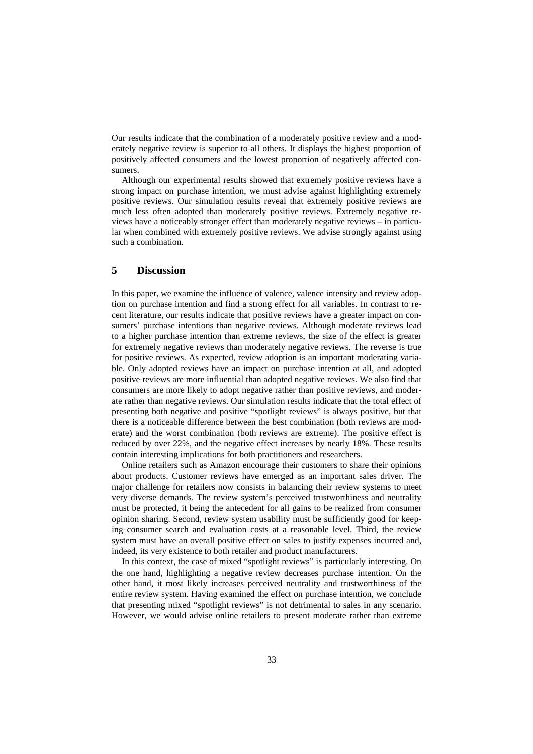Our results indicate that the combination of a moderately positive review and a moderately negative review is superior to all others. It displays the highest proportion of positively affected consumers and the lowest proportion of negatively affected consumers.

Although our experimental results showed that extremely positive reviews have a strong impact on purchase intention, we must advise against highlighting extremely positive reviews. Our simulation results reveal that extremely positive reviews are much less often adopted than moderately positive reviews. Extremely negative reviews have a noticeably stronger effect than moderately negative reviews – in particular when combined with extremely positive reviews. We advise strongly against using such a combination.

## **5 Discussion**

In this paper, we examine the influence of valence, valence intensity and review adoption on purchase intention and find a strong effect for all variables. In contrast to recent literature, our results indicate that positive reviews have a greater impact on consumers' purchase intentions than negative reviews. Although moderate reviews lead to a higher purchase intention than extreme reviews, the size of the effect is greater for extremely negative reviews than moderately negative reviews. The reverse is true for positive reviews. As expected, review adoption is an important moderating variable. Only adopted reviews have an impact on purchase intention at all, and adopted positive reviews are more influential than adopted negative reviews. We also find that consumers are more likely to adopt negative rather than positive reviews, and moderate rather than negative reviews. Our simulation results indicate that the total effect of presenting both negative and positive "spotlight reviews" is always positive, but that there is a noticeable difference between the best combination (both reviews are moderate) and the worst combination (both reviews are extreme). The positive effect is reduced by over 22%, and the negative effect increases by nearly 18%. These results contain interesting implications for both practitioners and researchers.

Online retailers such as Amazon encourage their customers to share their opinions about products. Customer reviews have emerged as an important sales driver. The major challenge for retailers now consists in balancing their review systems to meet very diverse demands. The review system's perceived trustworthiness and neutrality must be protected, it being the antecedent for all gains to be realized from consumer opinion sharing. Second, review system usability must be sufficiently good for keeping consumer search and evaluation costs at a reasonable level. Third, the review system must have an overall positive effect on sales to justify expenses incurred and, indeed, its very existence to both retailer and product manufacturers.

In this context, the case of mixed "spotlight reviews" is particularly interesting. On the one hand, highlighting a negative review decreases purchase intention. On the other hand, it most likely increases perceived neutrality and trustworthiness of the entire review system. Having examined the effect on purchase intention, we conclude that presenting mixed "spotlight reviews" is not detrimental to sales in any scenario. However, we would advise online retailers to present moderate rather than extreme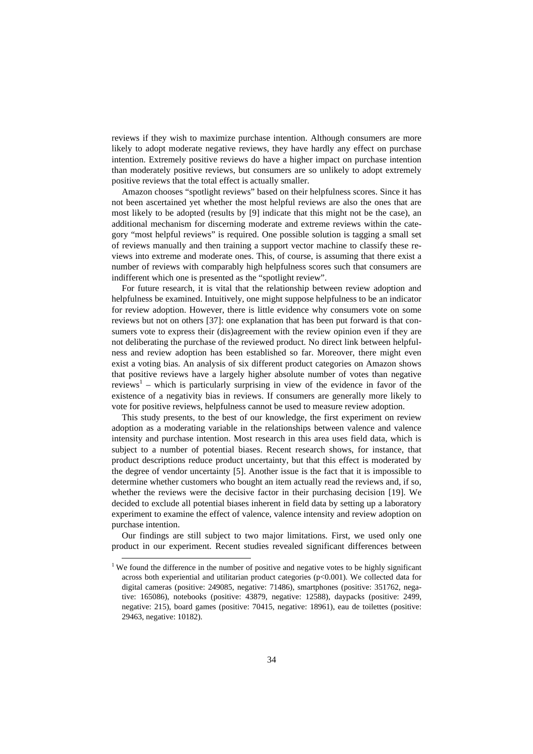reviews if they wish to maximize purchase intention. Although consumers are more likely to adopt moderate negative reviews, they have hardly any effect on purchase intention. Extremely positive reviews do have a higher impact on purchase intention than moderately positive reviews, but consumers are so unlikely to adopt extremely positive reviews that the total effect is actually smaller.

Amazon chooses "spotlight reviews" based on their helpfulness scores. Since it has not been ascertained yet whether the most helpful reviews are also the ones that are most likely to be adopted (results by [9] indicate that this might not be the case), an additional mechanism for discerning moderate and extreme reviews within the category "most helpful reviews" is required. One possible solution is tagging a small set of reviews manually and then training a support vector machine to classify these reviews into extreme and moderate ones. This, of course, is assuming that there exist a number of reviews with comparably high helpfulness scores such that consumers are indifferent which one is presented as the "spotlight review".

For future research, it is vital that the relationship between review adoption and helpfulness be examined. Intuitively, one might suppose helpfulness to be an indicator for review adoption. However, there is little evidence why consumers vote on some reviews but not on others [37]: one explanation that has been put forward is that consumers vote to express their (dis)agreement with the review opinion even if they are not deliberating the purchase of the reviewed product. No direct link between helpfulness and review adoption has been established so far. Moreover, there might even exist a voting bias. An analysis of six different product categories on Amazon shows that positive reviews have a largely higher absolute number of votes than negative reviews<sup>1</sup> – which is particularly surprising in view of the evidence in favor of the existence of a negativity bias in reviews. If consumers are generally more likely to vote for positive reviews, helpfulness cannot be used to measure review adoption.

This study presents, to the best of our knowledge, the first experiment on review adoption as a moderating variable in the relationships between valence and valence intensity and purchase intention. Most research in this area uses field data, which is subject to a number of potential biases. Recent research shows, for instance, that product descriptions reduce product uncertainty, but that this effect is moderated by the degree of vendor uncertainty [5]. Another issue is the fact that it is impossible to determine whether customers who bought an item actually read the reviews and, if so, whether the reviews were the decisive factor in their purchasing decision [19]. We decided to exclude all potential biases inherent in field data by setting up a laboratory experiment to examine the effect of valence, valence intensity and review adoption on purchase intention.

Our findings are still subject to two major limitations. First, we used only one product in our experiment. Recent studies revealed significant differences between

j

 $1$  We found the difference in the number of positive and negative votes to be highly significant across both experiential and utilitarian product categories ( $p<0.001$ ). We collected data for digital cameras (positive: 249085, negative: 71486), smartphones (positive: 351762, negative: 165086), notebooks (positive: 43879, negative: 12588), daypacks (positive: 2499, negative: 215), board games (positive: 70415, negative: 18961), eau de toilettes (positive: 29463, negative: 10182).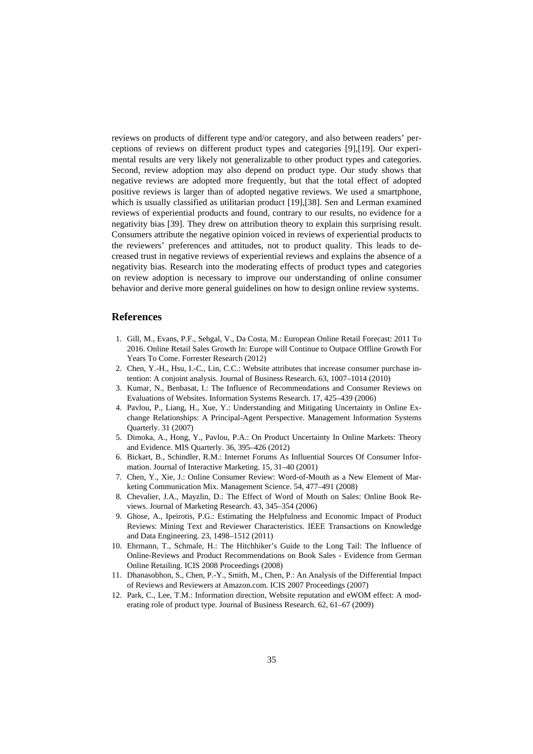reviews on products of different type and/or category, and also between readers' perceptions of reviews on different product types and categories [9],[19]. Our experimental results are very likely not generalizable to other product types and categories. Second, review adoption may also depend on product type. Our study shows that negative reviews are adopted more frequently, but that the total effect of adopted positive reviews is larger than of adopted negative reviews. We used a smartphone, which is usually classified as utilitarian product [19],[38]. Sen and Lerman examined reviews of experiential products and found, contrary to our results, no evidence for a negativity bias [39]. They drew on attribution theory to explain this surprising result. Consumers attribute the negative opinion voiced in reviews of experiential products to the reviewers' preferences and attitudes, not to product quality. This leads to decreased trust in negative reviews of experiential reviews and explains the absence of a negativity bias. Research into the moderating effects of product types and categories on review adoption is necessary to improve our understanding of online consumer behavior and derive more general guidelines on how to design online review systems.

#### **References**

- 1. Gill, M., Evans, P.F., Sehgal, V., Da Costa, M.: European Online Retail Forecast: 2011 To 2016. Online Retail Sales Growth In: Europe will Continue to Outpace Offline Growth For Years To Come. Forrester Research (2012)
- 2. Chen, Y.-H., Hsu, I.-C., Lin, C.C.: Website attributes that increase consumer purchase intention: A conjoint analysis. Journal of Business Research. 63, 1007–1014 (2010)
- 3. Kumar, N., Benbasat, I.: The Influence of Recommendations and Consumer Reviews on Evaluations of Websites. Information Systems Research. 17, 425–439 (2006)
- 4. Pavlou, P., Liang, H., Xue, Y.: Understanding and Mitigating Uncertainty in Online Exchange Relationships: A Principal-Agent Perspective. Management Information Systems Quarterly. 31 (2007)
- 5. Dimoka, A., Hong, Y., Pavlou, P.A.: On Product Uncertainty In Online Markets: Theory and Evidence. MIS Quarterly. 36, 395–426 (2012)
- 6. Bickart, B., Schindler, R.M.: Internet Forums As Influential Sources Of Consumer Information. Journal of Interactive Marketing. 15, 31–40 (2001)
- 7. Chen, Y., Xie, J.: Online Consumer Review: Word-of-Mouth as a New Element of Marketing Communication Mix. Management Science. 54, 477–491 (2008)
- 8. Chevalier, J.A., Mayzlin, D.: The Effect of Word of Mouth on Sales: Online Book Reviews. Journal of Marketing Research. 43, 345–354 (2006)
- 9. Ghose, A., Ipeirotis, P.G.: Estimating the Helpfulness and Economic Impact of Product Reviews: Mining Text and Reviewer Characteristics. IEEE Transactions on Knowledge and Data Engineering. 23, 1498–1512 (2011)
- 10. Ehrmann, T., Schmale, H.: The Hitchhiker's Guide to the Long Tail: The Influence of Online-Reviews and Product Recommendations on Book Sales - Evidence from German Online Retailing. ICIS 2008 Proceedings (2008)
- 11. Dhanasobhon, S., Chen, P.-Y., Smith, M., Chen, P.: An Analysis of the Differential Impact of Reviews and Reviewers at Amazon.com. ICIS 2007 Proceedings (2007)
- 12. Park, C., Lee, T.M.: Information direction, Website reputation and eWOM effect: A moderating role of product type. Journal of Business Research. 62, 61–67 (2009)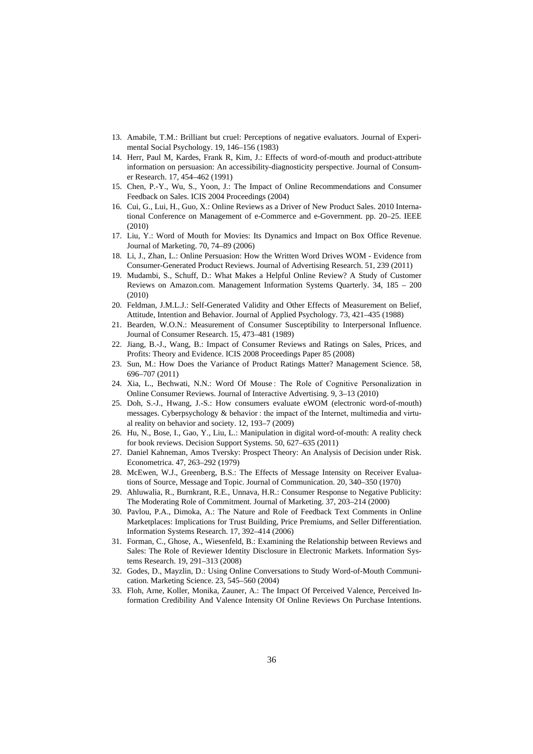- 13. Amabile, T.M.: Brilliant but cruel: Perceptions of negative evaluators. Journal of Experimental Social Psychology. 19, 146–156 (1983)
- 14. Herr, Paul M, Kardes, Frank R, Kim, J.: Effects of word-of-mouth and product-attribute information on persuasion: An accessibility-diagnosticity perspective. Journal of Consumer Research. 17, 454–462 (1991)
- 15. Chen, P.-Y., Wu, S., Yoon, J.: The Impact of Online Recommendations and Consumer Feedback on Sales. ICIS 2004 Proceedings (2004)
- 16. Cui, G., Lui, H., Guo, X.: Online Reviews as a Driver of New Product Sales. 2010 International Conference on Management of e-Commerce and e-Government. pp. 20–25. IEEE (2010)
- 17. Liu, Y.: Word of Mouth for Movies: Its Dynamics and Impact on Box Office Revenue. Journal of Marketing. 70, 74–89 (2006)
- 18. Li, J., Zhan, L.: Online Persuasion: How the Written Word Drives WOM Evidence from Consumer-Generated Product Reviews. Journal of Advertising Research. 51, 239 (2011)
- 19. Mudambi, S., Schuff, D.: What Makes a Helpful Online Review? A Study of Customer Reviews on Amazon.com. Management Information Systems Quarterly. 34, 185 – 200 (2010)
- 20. Feldman, J.M.L.J.: Self-Generated Validity and Other Effects of Measurement on Belief, Attitude, Intention and Behavior. Journal of Applied Psychology. 73, 421–435 (1988)
- 21. Bearden, W.O.N.: Measurement of Consumer Susceptibility to Interpersonal Influence. Journal of Consumer Research. 15, 473–481 (1989)
- 22. Jiang, B.-J., Wang, B.: Impact of Consumer Reviews and Ratings on Sales, Prices, and Profits: Theory and Evidence. ICIS 2008 Proceedings Paper 85 (2008)
- 23. Sun, M.: How Does the Variance of Product Ratings Matter? Management Science. 58, 696–707 (2011)
- 24. Xia, L., Bechwati, N.N.: Word Of Mouse : The Role of Cognitive Personalization in Online Consumer Reviews. Journal of Interactive Advertising. 9, 3–13 (2010)
- 25. Doh, S.-J., Hwang, J.-S.: How consumers evaluate eWOM (electronic word-of-mouth) messages. Cyberpsychology & behavior : the impact of the Internet, multimedia and virtual reality on behavior and society. 12, 193–7 (2009)
- 26. Hu, N., Bose, I., Gao, Y., Liu, L.: Manipulation in digital word-of-mouth: A reality check for book reviews. Decision Support Systems. 50, 627–635 (2011)
- 27. Daniel Kahneman, Amos Tversky: Prospect Theory: An Analysis of Decision under Risk. Econometrica. 47, 263–292 (1979)
- 28. McEwen, W.J., Greenberg, B.S.: The Effects of Message Intensity on Receiver Evaluations of Source, Message and Topic. Journal of Communication. 20, 340–350 (1970)
- 29. Ahluwalia, R., Burnkrant, R.E., Unnava, H.R.: Consumer Response to Negative Publicity: The Moderating Role of Commitment. Journal of Marketing. 37, 203–214 (2000)
- 30. Pavlou, P.A., Dimoka, A.: The Nature and Role of Feedback Text Comments in Online Marketplaces: Implications for Trust Building, Price Premiums, and Seller Differentiation. Information Systems Research. 17, 392–414 (2006)
- 31. Forman, C., Ghose, A., Wiesenfeld, B.: Examining the Relationship between Reviews and Sales: The Role of Reviewer Identity Disclosure in Electronic Markets. Information Systems Research. 19, 291–313 (2008)
- 32. Godes, D., Mayzlin, D.: Using Online Conversations to Study Word-of-Mouth Communication. Marketing Science. 23, 545–560 (2004)
- 33. Floh, Arne, Koller, Monika, Zauner, A.: The Impact Of Perceived Valence, Perceived Information Credibility And Valence Intensity Of Online Reviews On Purchase Intentions.